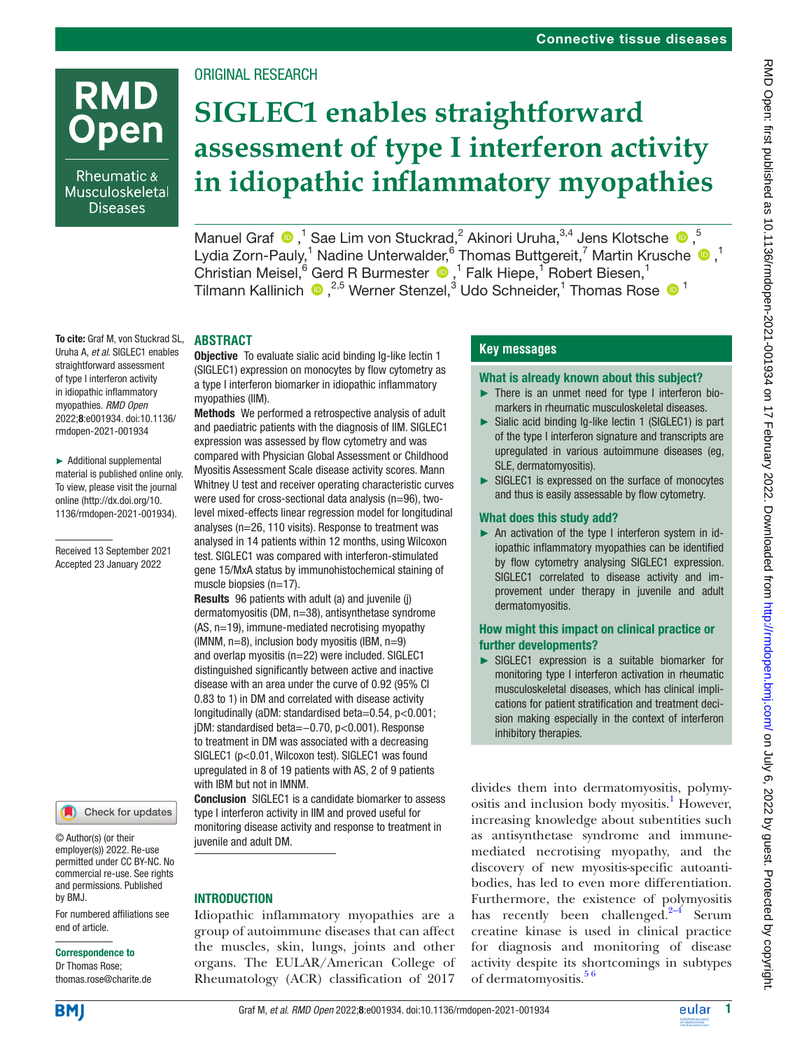# **RMD Open**

Rheumatic & Musculoskeletal **Diseases** 

Uruha A, *et al*. SIGLEC1 enables straightforward assessment of type I interferon activity in idiopathic inflammatory myopathies. *RMD Open* 2022;8:e001934. doi:10.1136/ rmdopen-2021-001934

► Additional supplemental material is published online only. To view, please visit the journal online ([http://dx.doi.org/10.](http://dx.doi.org/10.1136/rmdopen-2021-001934) [1136/rmdopen-2021-001934\)](http://dx.doi.org/10.1136/rmdopen-2021-001934).

Received 13 September 2021 Accepted 23 January 2022

# ORIGINAL RESEARCH

# **SIGLEC1 enables straightforward assessment of type I interferon activity in idiopathic inflammatory myopathies**

ManuelGraf  $\bigcirc$ ,<sup>1</sup> Sae Lim von Stuckrad,<sup>2</sup> Akinori Uruha,<sup>3,4</sup> Jens Klotsche  $\bigcirc$ ,<sup>5</sup> LydiaZorn-Pauly,<sup>1</sup> Nadine Unterwalder,<sup>6</sup> Thomas Buttgereit,<sup>7</sup> Martin Krusche <sup>1</sup>,<sup>1</sup> Christian Meisel, <sup>6</sup> Gerd R Burmester  $\bullet$ , <sup>1</sup> Falk Hiepe, <sup>1</sup> Robert Biesen, <sup>1</sup> Tilmann Kallinich  $\bullet$  ,<sup>2,5</sup> Werner Stenzel,<sup>3</sup> Udo Schneider,<sup>1</sup> Thomas Rose  $\bullet$ <sup>1</sup>

#### To cite: Graf M, von Stuckrad SL, **ABSTRACT**

Objective To evaluate sialic acid binding Ig-like lectin 1 (SIGLEC1) expression on monocytes by flow cytometry as a type I interferon biomarker in idiopathic inflammatory myopathies (IIM).

Methods We performed a retrospective analysis of adult and paediatric patients with the diagnosis of IIM. SIGLEC1 expression was assessed by flow cytometry and was compared with Physician Global Assessment or Childhood Myositis Assessment Scale disease activity scores. Mann Whitney U test and receiver operating characteristic curves were used for cross-sectional data analysis (n=96), twolevel mixed-effects linear regression model for longitudinal analyses (n=26, 110 visits). Response to treatment was analysed in 14 patients within 12 months, using Wilcoxon test. SIGLEC1 was compared with interferon-stimulated gene 15/MxA status by immunohistochemical staining of muscle biopsies (n=17).

Results 96 patients with adult (a) and juvenile (j) dermatomyositis (DM, n=38), antisynthetase syndrome (AS, n=19), immune-mediated necrotising myopathy (IMNM, n=8), inclusion body myositis (IBM, n=9) and overlap myositis (n=22) were included. SIGLEC1 distinguished significantly between active and inactive disease with an area under the curve of 0.92 (95% CI 0.83 to 1) in DM and correlated with disease activity longitudinally (aDM: standardised beta=0.54, p<0.001; jDM: standardised beta=−0.70, p<0.001). Response to treatment in DM was associated with a decreasing SIGLEC1 (p<0.01, Wilcoxon test). SIGLEC1 was found upregulated in 8 of 19 patients with AS, 2 of 9 patients with IBM but not in IMNM.

Conclusion SIGLEC1 is a candidate biomarker to assess type I interferon activity in IIM and proved useful for monitoring disease activity and response to treatment in juvenile and adult DM.

## INTRODUCTION

Idiopathic inflammatory myopathies are a group of autoimmune diseases that can affect the muscles, skin, lungs, joints and other organs. The EULAR/American College of Rheumatology (ACR) classification of 2017

# **Key messages**

## What is already known about this subject?

- ► There is an unmet need for type I interferon biomarkers in rheumatic musculoskeletal diseases.
- ► Sialic acid binding Ig-like lectin 1 (SIGLEC1) is part of the type I interferon signature and transcripts are upregulated in various autoimmune diseases (eg, SLE, dermatomyositis).
- ► SIGLEC1 is expressed on the surface of monocytes and thus is easily assessable by flow cytometry.

## What does this study add?

► An activation of the type I interferon system in idiopathic inflammatory myopathies can be identified by flow cytometry analysing SIGLEC1 expression. SIGLEC1 correlated to disease activity and improvement under therapy in juvenile and adult dermatomyositis.

## How might this impact on clinical practice or further developments?

► SIGLEC1 expression is a suitable biomarker for monitoring type I interferon activation in rheumatic musculoskeletal diseases, which has clinical implications for patient stratification and treatment decision making especially in the context of interferon inhibitory therapies.

divides them into dermatomyositis, polymyositis and inclusion body myositis.<sup>1</sup> However, increasing knowledge about subentities such as antisynthetase syndrome and immunemediated necrotising myopathy, and the discovery of new myositis-specific autoantibodies, has led to even more differentiation. Furthermore, the existence of polymyositis has recently been challenged. $2-4$  Serum creatine kinase is used in clinical practice for diagnosis and monitoring of disease activity despite its shortcomings in subtypes of dermatomyositis.<sup>56</sup>

For numbered affiliations see end of article.

© Author(s) (or their employer(s)) 2022. Re-use permitted under CC BY-NC. No commercial re-use. See rights and permissions. Published

Check for updates

#### Correspondence to

Dr Thomas Rose; thomas.rose@charite.de



by BMJ.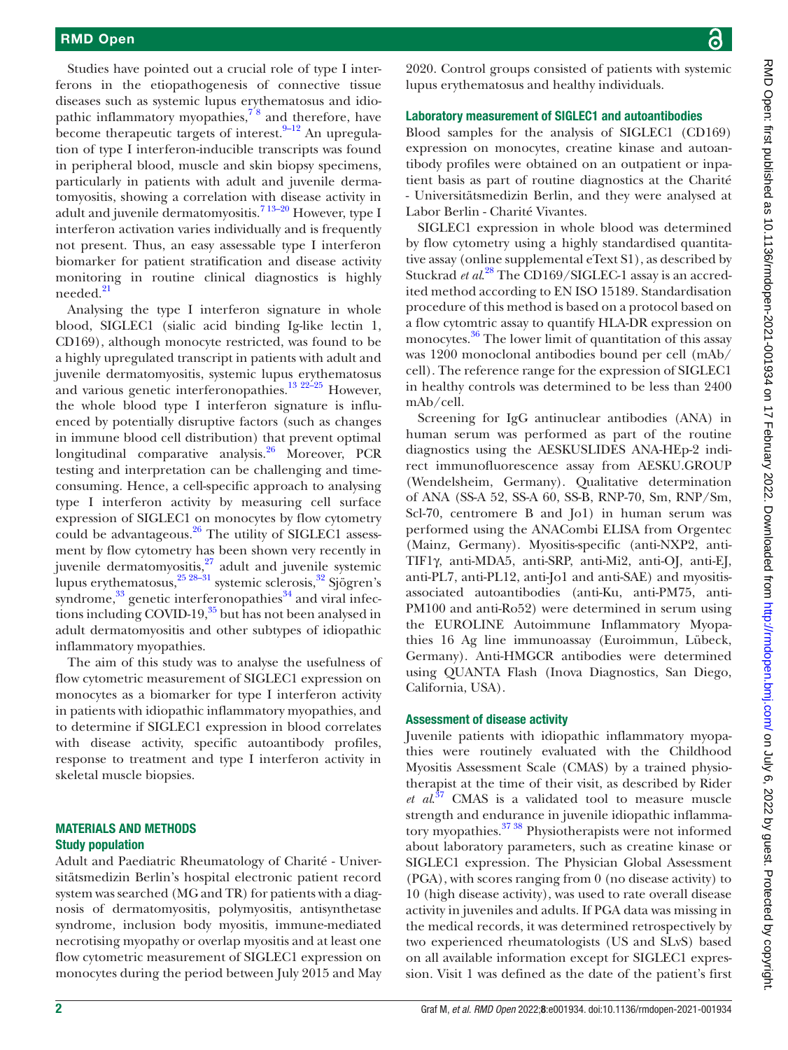Studies have pointed out a crucial role of type I interferons in the etiopathogenesis of connective tissue diseases such as systemic lupus erythematosus and idiopathic inflammatory myopathies, $78$  and therefore, have become therapeutic targets of interest. $9-12$  An upregulation of type I interferon-inducible transcripts was found in peripheral blood, muscle and skin biopsy specimens, particularly in patients with adult and juvenile dermatomyositis, showing a correlation with disease activity in adult and juvenile dermatomyositis.[7 13–20](#page-8-3) However, type I interferon activation varies individually and is frequently not present. Thus, an easy assessable type I interferon biomarker for patient stratification and disease activity monitoring in routine clinical diagnostics is highly needed.<sup>[21](#page-8-5)</sup>

Analysing the type I interferon signature in whole blood, SIGLEC1 (sialic acid binding Ig-like lectin 1, CD169), although monocyte restricted, was found to be a highly upregulated transcript in patients with adult and juvenile dermatomyositis, systemic lupus erythematosus and various genetic interferonopathies.<sup>[13 22–25](#page-8-6)</sup> However, the whole blood type I interferon signature is influenced by potentially disruptive factors (such as changes in immune blood cell distribution) that prevent optimal longitudinal comparative analysis. $^{26}$  $^{26}$  $^{26}$  Moreover, PCR testing and interpretation can be challenging and timeconsuming. Hence, a cell-specific approach to analysing type I interferon activity by measuring cell surface expression of SIGLEC1 on monocytes by flow cytometry could be advantageous. $26$  The utility of SIGLEC1 assessment by flow cytometry has been shown very recently in juvenile dermatomyositis,<sup>27</sup> adult and juvenile systemic lupus erythematosus,<sup>25 28–31</sup> systemic sclerosis,<sup>32</sup> Sjögren's syndrome, $33$  genetic interferonopathies $34$  and viral infections including COVID-19,<sup>35</sup> but has not been analysed in adult dermatomyositis and other subtypes of idiopathic inflammatory myopathies.

The aim of this study was to analyse the usefulness of flow cytometric measurement of SIGLEC1 expression on monocytes as a biomarker for type I interferon activity in patients with idiopathic inflammatory myopathies, and to determine if SIGLEC1 expression in blood correlates with disease activity, specific autoantibody profiles, response to treatment and type I interferon activity in skeletal muscle biopsies.

## MATERIALS AND METHODS Study population

Adult and Paediatric Rheumatology of Charité - Universitätsmedizin Berlin's hospital electronic patient record system was searched (MG and TR) for patients with a diagnosis of dermatomyositis, polymyositis, antisynthetase syndrome, inclusion body myositis, immune-mediated necrotising myopathy or overlap myositis and at least one flow cytometric measurement of SIGLEC1 expression on monocytes during the period between July 2015 and May

2020. Control groups consisted of patients with systemic lupus erythematosus and healthy individuals.

## Laboratory measurement of SIGLEC1 and autoantibodies

Blood samples for the analysis of SIGLEC1 (CD169) expression on monocytes, creatine kinase and autoantibody profiles were obtained on an outpatient or inpatient basis as part of routine diagnostics at the Charité - Universitätsmedizin Berlin, and they were analysed at Labor Berlin - Charité Vivantes.

SIGLEC1 expression in whole blood was determined by flow cytometry using a highly standardised quantitative assay ([online supplemental eText S1\)](https://dx.doi.org/10.1136/rmdopen-2021-001934), as described by Stuckrad *et al*. [28](#page-8-10) The CD169/SIGLEC-1 assay is an accredited method according to EN ISO 15189. Standardisation procedure of this method is based on a protocol based on a flow cytomtric assay to quantify HLA-DR expression on monocytes.<sup>36</sup> The lower limit of quantitation of this assay was 1200 monoclonal antibodies bound per cell (mAb/ cell). The reference range for the expression of SIGLEC1 in healthy controls was determined to be less than 2400 mAb/cell.

Screening for IgG antinuclear antibodies (ANA) in human serum was performed as part of the routine diagnostics using the AESKUSLIDES ANA-HEp-2 indirect immunofluorescence assay from AESKU.GROUP (Wendelsheim, Germany). Qualitative determination of ANA (SS-A 52, SS-A 60, SS-B, RNP-70, Sm, RNP/Sm, Scl-70, centromere B and Jo1) in human serum was performed using the ANACombi ELISA from Orgentec (Mainz, Germany). Myositis-specific (anti-NXP2, anti-TIF1γ, anti-MDA5, anti-SRP, anti-Mi2, anti-OJ, anti-EJ, anti-PL7, anti-PL12, anti-Jo1 and anti-SAE) and myositisassociated autoantibodies (anti-Ku, anti-PM75, anti-PM100 and anti-Ro52) were determined in serum using the EUROLINE Autoimmune Inflammatory Myopathies 16 Ag line immunoassay (Euroimmun, Lübeck, Germany). Anti-HMGCR antibodies were determined using QUANTA Flash (Inova Diagnostics, San Diego, California, USA).

## Assessment of disease activity

Juvenile patients with idiopathic inflammatory myopathies were routinely evaluated with the Childhood Myositis Assessment Scale (CMAS) by a trained physiotherapist at the time of their visit, as described by Rider *et al*. [37](#page-9-5) CMAS is a validated tool to measure muscle strength and endurance in juvenile idiopathic inflammatory myopathies.<sup>37</sup> <sup>38</sup> Physiotherapists were not informed about laboratory parameters, such as creatine kinase or SIGLEC1 expression. The Physician Global Assessment (PGA), with scores ranging from 0 (no disease activity) to 10 (high disease activity), was used to rate overall disease activity in juveniles and adults. If PGA data was missing in the medical records, it was determined retrospectively by two experienced rheumatologists (US and SLvS) based on all available information except for SIGLEC1 expression. Visit 1 was defined as the date of the patient's first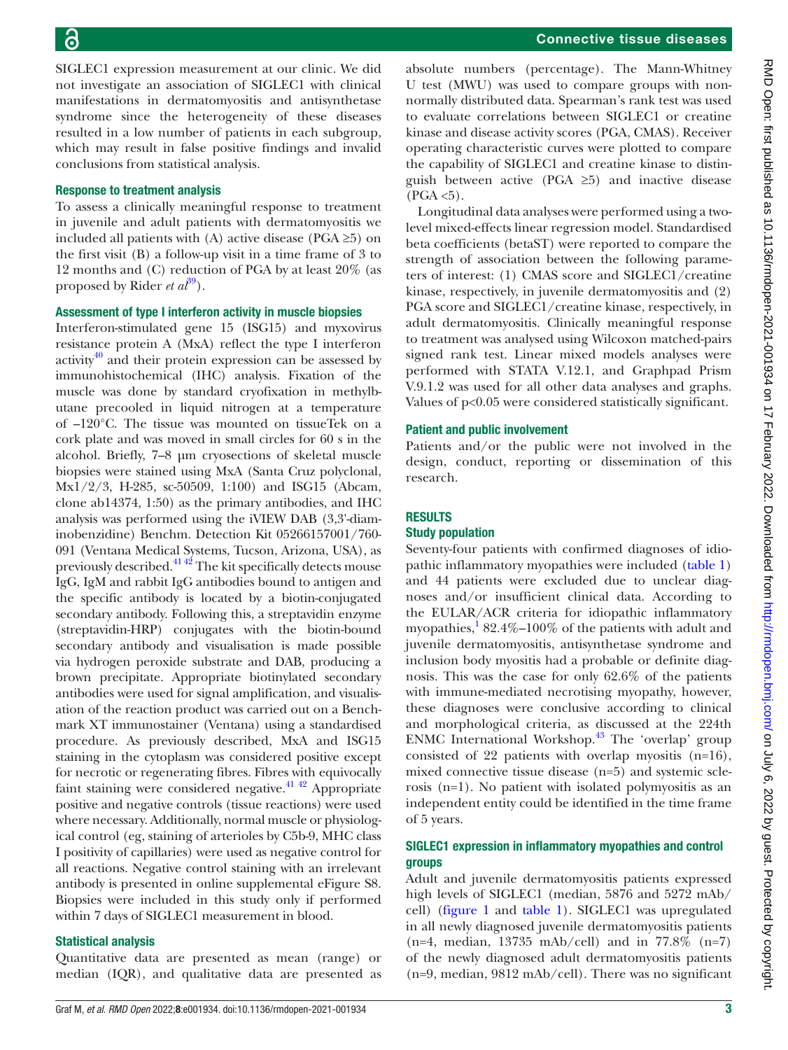SIGLEC1 expression measurement at our clinic. We did not investigate an association of SIGLEC1 with clinical manifestations in dermatomyositis and antisynthetase syndrome since the heterogeneity of these diseases resulted in a low number of patients in each subgroup, which may result in false positive findings and invalid conclusions from statistical analysis.

## Response to treatment analysis

To assess a clinically meaningful response to treatment in juvenile and adult patients with dermatomyositis we included all patients with (A) active disease (PGA  $\geq$ 5) on the first visit (B) a follow-up visit in a time frame of 3 to 12 months and (C) reduction of PGA by at least 20% (as proposed by Rider *et al*<sup>[39](#page-9-6)</sup>).

## Assessment of type I interferon activity in muscle biopsies

Interferon-stimulated gene 15 (ISG15) and myxovirus resistance protein A (MxA) reflect the type I interferon activity<sup>40</sup> and their protein expression can be assessed by immunohistochemical (IHC) analysis. Fixation of the muscle was done by standard cryofixation in methylbutane precooled in liquid nitrogen at a temperature of –120°C. The tissue was mounted on tissueTek on a cork plate and was moved in small circles for 60 s in the alcohol. Briefly, 7–8 µm cryosections of skeletal muscle biopsies were stained using MxA (Santa Cruz polyclonal, Mx1/2/3, H-285, sc-50509, 1:100) and ISG15 (Abcam, clone ab14374, 1:50) as the primary antibodies, and IHC analysis was performed using the iVIEW DAB (3,3'-diaminobenzidine) Benchm. Detection Kit 05266157001/760- 091 (Ventana Medical Systems, Tucson, Arizona, USA), as previously described.[41 42](#page-9-8) The kit specifically detects mouse IgG, IgM and rabbit IgG antibodies bound to antigen and the specific antibody is located by a biotin-conjugated secondary antibody. Following this, a streptavidin enzyme (streptavidin-HRP) conjugates with the biotin-bound secondary antibody and visualisation is made possible via hydrogen peroxide substrate and DAB, producing a brown precipitate. Appropriate biotinylated secondary antibodies were used for signal amplification, and visualisation of the reaction product was carried out on a Benchmark XT immunostainer (Ventana) using a standardised procedure. As previously described, MxA and ISG15 staining in the cytoplasm was considered positive except for necrotic or regenerating fibres. Fibres with equivocally faint staining were considered negative.<sup>41 42</sup> Appropriate positive and negative controls (tissue reactions) were used where necessary. Additionally, normal muscle or physiological control (eg, staining of arterioles by C5b-9, MHC class I positivity of capillaries) were used as negative control for all reactions. Negative control staining with an irrelevant antibody is presented in [online supplemental eFigure S8.](https://dx.doi.org/10.1136/rmdopen-2021-001934) Biopsies were included in this study only if performed within 7 days of SIGLEC1 measurement in blood.

## Statistical analysis

Quantitative data are presented as mean (range) or median (IQR), and qualitative data are presented as

absolute numbers (percentage). The Mann-Whitney U test (MWU) was used to compare groups with nonnormally distributed data. Spearman's rank test was used to evaluate correlations between SIGLEC1 or creatine kinase and disease activity scores (PGA, CMAS). Receiver operating characteristic curves were plotted to compare the capability of SIGLEC1 and creatine kinase to distinguish between active (PGA  $\geq$ 5) and inactive disease  $(PGA < 5)$ .

Longitudinal data analyses were performed using a twolevel mixed-effects linear regression model. Standardised beta coefficients (betaST) were reported to compare the strength of association between the following parameters of interest: (1) CMAS score and SIGLEC1/creatine kinase, respectively, in juvenile dermatomyositis and (2) PGA score and SIGLEC1/creatine kinase, respectively, in adult dermatomyositis. Clinically meaningful response to treatment was analysed using Wilcoxon matched-pairs signed rank test. Linear mixed models analyses were performed with STATA V.12.1, and Graphpad Prism V.9.1.2 was used for all other data analyses and graphs. Values of p<0.05 were considered statistically significant.

## Patient and public involvement

Patients and/or the public were not involved in the design, conduct, reporting or dissemination of this research.

## RESULTS

## Study population

Seventy-four patients with confirmed diagnoses of idiopathic inflammatory myopathies were included ([table](#page-3-0) 1) and 44 patients were excluded due to unclear diagnoses and/or insufficient clinical data. According to the EULAR/ACR criteria for idiopathic inflammatory myopathies,  $182.4\% - 100\%$  $182.4\% - 100\%$  of the patients with adult and juvenile dermatomyositis, antisynthetase syndrome and inclusion body myositis had a probable or definite diagnosis. This was the case for only 62.6% of the patients with immune-mediated necrotising myopathy, however, these diagnoses were conclusive according to clinical and morphological criteria, as discussed at the 224th ENMC International Workshop.<sup>[43](#page-9-9)</sup> The 'overlap' group consisted of 22 patients with overlap myositis (n=16), mixed connective tissue disease (n=5) and systemic sclerosis (n=1). No patient with isolated polymyositis as an independent entity could be identified in the time frame of 5 years.

## SIGLEC1 expression in inflammatory myopathies and control groups

Adult and juvenile dermatomyositis patients expressed high levels of SIGLEC1 (median, 5876 and 5272 mAb/ cell) ([figure](#page-4-0) 1 and [table](#page-3-0) 1). SIGLEC1 was upregulated in all newly diagnosed juvenile dermatomyositis patients  $(n=4, \text{ median}, 13735 \text{ mAb/cell})$  and in 77.8%  $(n=7)$ of the newly diagnosed adult dermatomyositis patients (n=9, median, 9812 mAb/cell). There was no significant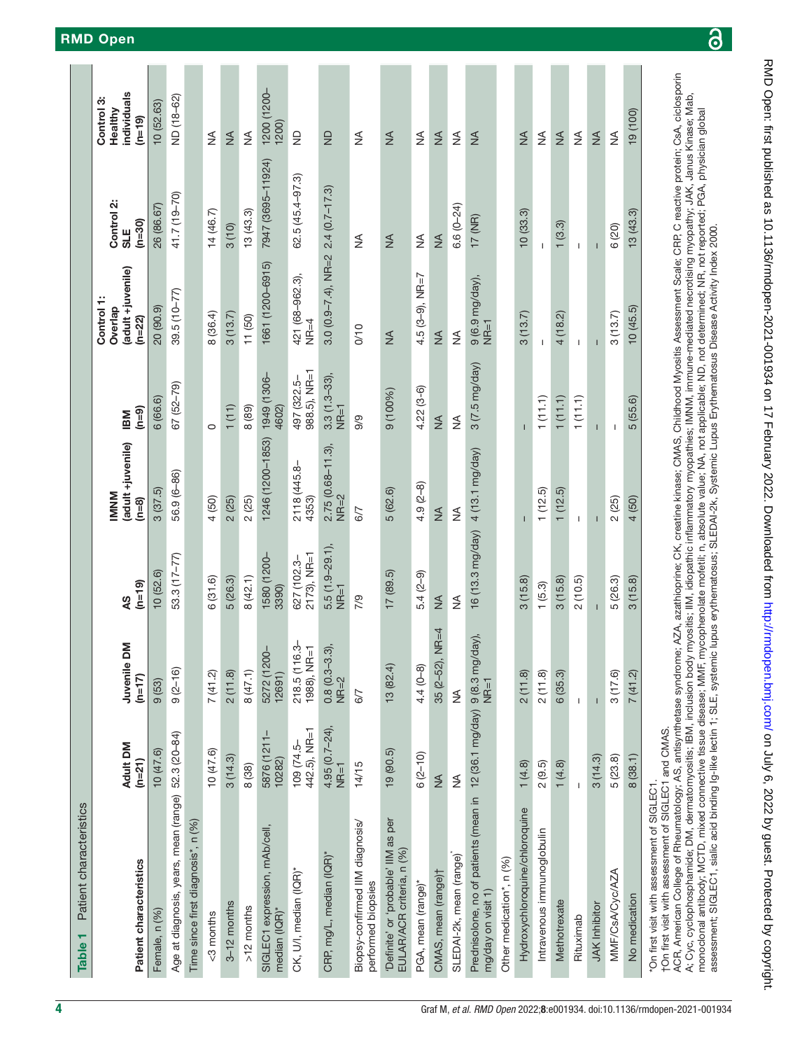<span id="page-3-0"></span>

| Patient characteristics<br>Table <sub>1</sub>                                                                                                                                                                                                                                                                                                                                                                                                                                                                                                                                                                                                                                                                                                     |                                |                              |                               |                                            |                             |                                                        |                                                                                                                        |                                                  |
|---------------------------------------------------------------------------------------------------------------------------------------------------------------------------------------------------------------------------------------------------------------------------------------------------------------------------------------------------------------------------------------------------------------------------------------------------------------------------------------------------------------------------------------------------------------------------------------------------------------------------------------------------------------------------------------------------------------------------------------------------|--------------------------------|------------------------------|-------------------------------|--------------------------------------------|-----------------------------|--------------------------------------------------------|------------------------------------------------------------------------------------------------------------------------|--------------------------------------------------|
| Patient characteristics                                                                                                                                                                                                                                                                                                                                                                                                                                                                                                                                                                                                                                                                                                                           | Adult DM<br>$(n=21)$           | Juvenile DM<br>$(n=17)$      | $(n=19)$<br>49                | (adult +juvenile)<br><b>MNM</b><br>$(n=8)$ | $(n=9)$<br><b>IBM</b>       | (adult +juvenile)<br>Control 1:<br>Overlap<br>$(n=22)$ | Control 2:<br>$(n=30)$<br>SLE                                                                                          | individuals<br>Control 3:<br>Healthy<br>$(n=19)$ |
| Female, n (%)                                                                                                                                                                                                                                                                                                                                                                                                                                                                                                                                                                                                                                                                                                                                     | 10(47.6)                       | 9(53)                        | 10(52.6)                      | 3(37.5)                                    | 6 (66.6)                    | 20 (90.9)                                              | 26 (86.67)                                                                                                             | 10 (52.63)                                       |
| Age at diagnosis, years, mean (range)                                                                                                                                                                                                                                                                                                                                                                                                                                                                                                                                                                                                                                                                                                             | 52.3 (20-84)                   | $9(2-16)$                    | 53.3 (17-77)                  | 56.9 (6-86)                                | 67 (52-79)                  | $39.5(10-77)$                                          | 41.7 (19-70)                                                                                                           | ND (18-62)                                       |
| Time since first diagnosis*, n (%)                                                                                                                                                                                                                                                                                                                                                                                                                                                                                                                                                                                                                                                                                                                |                                |                              |                               |                                            |                             |                                                        |                                                                                                                        |                                                  |
| <3 months                                                                                                                                                                                                                                                                                                                                                                                                                                                                                                                                                                                                                                                                                                                                         | 10(47.6)                       | 7(41.2)                      | 6(31.6)                       | 4 (50)                                     | $\circ$                     | 8 (36.4)                                               | 14(46.7)                                                                                                               | ≸                                                |
| $3-12$ months                                                                                                                                                                                                                                                                                                                                                                                                                                                                                                                                                                                                                                                                                                                                     | 3(14.3)                        | 2(11.8)                      | 5(26.3)                       | 2(25)                                      | 1(11)                       | 3(13.7)                                                | 3(10)                                                                                                                  | $\frac{1}{2}$                                    |
| $>12$ months                                                                                                                                                                                                                                                                                                                                                                                                                                                                                                                                                                                                                                                                                                                                      | 8(38)                          | 8(47.1)                      | 8(42.1)                       | 2(25)                                      | 8 (89)                      | 11(50)                                                 | 13(43.3)                                                                                                               | ≸                                                |
| SIGLEC1 expression, mAb/cell,<br>median (IQR)*                                                                                                                                                                                                                                                                                                                                                                                                                                                                                                                                                                                                                                                                                                    | 5876 (1211-<br>10282)          | 5272 (1200-<br>12691)        | 1580 (1200-<br>3390)          | 1246 (1200-1853)  1949 (1306-<br>4602)     |                             | 1661 (1200-6915)                                       | 7947 (3695-11924)                                                                                                      | 1200 (1200-<br>1200)                             |
| CK, U/I, median (IQR)*                                                                                                                                                                                                                                                                                                                                                                                                                                                                                                                                                                                                                                                                                                                            | $442.5$ ), NR=1<br>$109(74.5-$ | 218.5 (116.3-<br>1988), NR=1 | $2173$ ), NR=1<br>627 (102.3- | 2118 (445.8-<br>4353)                      | 988.5), NR=1<br>497 (322.5- | 421 (68-962.3),<br>$NR=4$                              | 62.5 (45.4-97.3)                                                                                                       | $\frac{\Omega}{\Sigma}$                          |
| CRP, mg/L, median (IQR)*                                                                                                                                                                                                                                                                                                                                                                                                                                                                                                                                                                                                                                                                                                                          | $4.95(0.7-24),$<br>$NR=1$      | $0.8(0.3-3.3),$<br>NR=2      | $5.5(1.9-29.1)$<br>$N = 1$    | $2.75(0.68 - 11.3)$ ,<br>$NR=2$            | $3.3(1.3-33)$ ,<br>$NR=1$   | $3.0(0.9 - 7.4)$ , NR=2                                | $2.4(0.7 - 17.3)$                                                                                                      | $\frac{D}{Z}$                                    |
| Biopsy-confirmed IIM diagnosis/<br>performed biopsies                                                                                                                                                                                                                                                                                                                                                                                                                                                                                                                                                                                                                                                                                             | 14/15                          | 6/7                          | $\frac{6}{1}$                 | 6/7                                        | 9/9                         | 0/10                                                   | ₹                                                                                                                      | ₹                                                |
| 'Definite' or 'probable' IIM as per<br>EULAR/ACR criteria, n (%)                                                                                                                                                                                                                                                                                                                                                                                                                                                                                                                                                                                                                                                                                  | 19(90.5)                       | 13(82.4)                     | 17(89.5)                      | 5(62.6)                                    | 9 (100%)                    | $\frac{1}{2}$                                          | $\frac{4}{2}$                                                                                                          | $\frac{1}{2}$                                    |
| PGA, mean (range)*                                                                                                                                                                                                                                                                                                                                                                                                                                                                                                                                                                                                                                                                                                                                | $6(2-10)$                      | $4.4(0-8)$                   | $5.4(2-9)$                    | $4.9(2-8)$                                 | $4.22(3-6)$                 | 4.5 (3-9), $NR=7$                                      | $\lessgtr$                                                                                                             | $\lessgtr$                                       |
| CMAS, mean (range) <sup>†</sup>                                                                                                                                                                                                                                                                                                                                                                                                                                                                                                                                                                                                                                                                                                                   | $\frac{1}{2}$                  | $NR=4$<br>$35(2-52)$ ,       | $\frac{1}{2}$                 | $\frac{1}{2}$                              | $\frac{4}{2}$               | $\frac{1}{2}$                                          | $\frac{4}{5}$                                                                                                          | $\frac{4}{2}$                                    |
| SLEDAI-2k, mean (range)                                                                                                                                                                                                                                                                                                                                                                                                                                                                                                                                                                                                                                                                                                                           | ₹                              | ⋚                            | ≸                             | ⋚                                          | ≨                           | ≸                                                      | $6.6(0 - 24)$                                                                                                          | $\lessgtr$                                       |
| Prednisolone, no of patients (mean in   12 (36.1 mg/day)  9 (8.3 mg/<br>mg/day on visit 1)<br>mg/day on visit 1)                                                                                                                                                                                                                                                                                                                                                                                                                                                                                                                                                                                                                                  |                                | day),                        | 16 (13.3 mg/day)              | 4(13.1 mg/day)                             | $3(7.5 \text{ mg/day})$     | $9(6.9 mg/day),$<br>NR=1                               | 17 (NR)                                                                                                                | $\frac{4}{2}$                                    |
| Other medication*, n (%)                                                                                                                                                                                                                                                                                                                                                                                                                                                                                                                                                                                                                                                                                                                          |                                |                              |                               |                                            |                             |                                                        |                                                                                                                        |                                                  |
| Hydroxychloroquine/chloroquine                                                                                                                                                                                                                                                                                                                                                                                                                                                                                                                                                                                                                                                                                                                    | 1(4.8)                         | 2(11.8)                      | 3(15.8)                       |                                            |                             | 3(13.7)                                                | 10(33.3)                                                                                                               | $\frac{1}{2}$                                    |
| Intravenous immunoglobulin                                                                                                                                                                                                                                                                                                                                                                                                                                                                                                                                                                                                                                                                                                                        | 2(9.5)                         | 2(11.8)                      | 1(5.3)                        | 1(12.5)                                    | 1(11.1)                     | $\mathbf{I}$                                           | $\mathbf{I}$                                                                                                           | ≸                                                |
| Methotrexate                                                                                                                                                                                                                                                                                                                                                                                                                                                                                                                                                                                                                                                                                                                                      | 1(4.8)                         | 6(35.3)                      | 3(15.8)                       | 1(12.5)                                    | 1(11.1)                     | 4(18.2)                                                | 1(3.3)                                                                                                                 | $\frac{4}{2}$                                    |
| Rituximab                                                                                                                                                                                                                                                                                                                                                                                                                                                                                                                                                                                                                                                                                                                                         | J.                             | $\mathbf{I}$                 | 2(10.5)                       | $\mathbf{I}$                               | 1(11.1)                     | J.                                                     | $\mathbf{I}$                                                                                                           | $\lessgtr$                                       |
| <b>JAK</b> Inhibitor                                                                                                                                                                                                                                                                                                                                                                                                                                                                                                                                                                                                                                                                                                                              | 3(14.3)                        |                              |                               |                                            | т                           |                                                        | $\mathbf{I}$                                                                                                           | $\frac{4}{2}$                                    |
| MMF/CsA/Cyc/AZA                                                                                                                                                                                                                                                                                                                                                                                                                                                                                                                                                                                                                                                                                                                                   | 5(23.8)                        | 3(17.6)                      | 5(26.3)                       | 2(25)                                      | $\mathbf{I}$                | 3(13.7)                                                | 6 (20)                                                                                                                 | ≸                                                |
| No medication                                                                                                                                                                                                                                                                                                                                                                                                                                                                                                                                                                                                                                                                                                                                     | 8(38.1)                        | 7(41.2)                      | 3(15.8)                       | 4 (50)                                     | 5 (55.6)                    | 10(45.5)                                               | 13(43.3)                                                                                                               | 19 (100)                                         |
| ACR, American College of Rheumatology; AS, antisynthetase syndrome; AZA, azathioprine; CK, creatine kinase; CMAS, Childhood Myositis Assessment Scale; CRP, C reactive protein; CsA, ciclosporin<br>monoclonal antibody; MCTD, mixed connective tissue disease; MMF, mycophenolate mofetil; n, absolute value; NA, not applicable; ND, not determined; NR, not reported; PGA, physician global<br>assessment; SIGLEC1, sialic acid binding Ig-like lectin 1; SLE, systemic lupus erythematosus; SLEDAI-2k, Systemic Lupus Erythematosus Disease Activity Index 2000.<br>A; Cyc, cyclophosphamide; DM, dermatomyositis; IBM, inclusion body<br>†On first visit with assessment of SIGLEC1 and CMAS.<br>"On first visit with assessment of SIGLEC1. |                                |                              |                               |                                            |                             |                                                        | myostits; IIM, idiopathic inflammatory myopathies; IMNM, immune-mediated necrotising myopathy; JAK, Janus Kinase; Mab, |                                                  |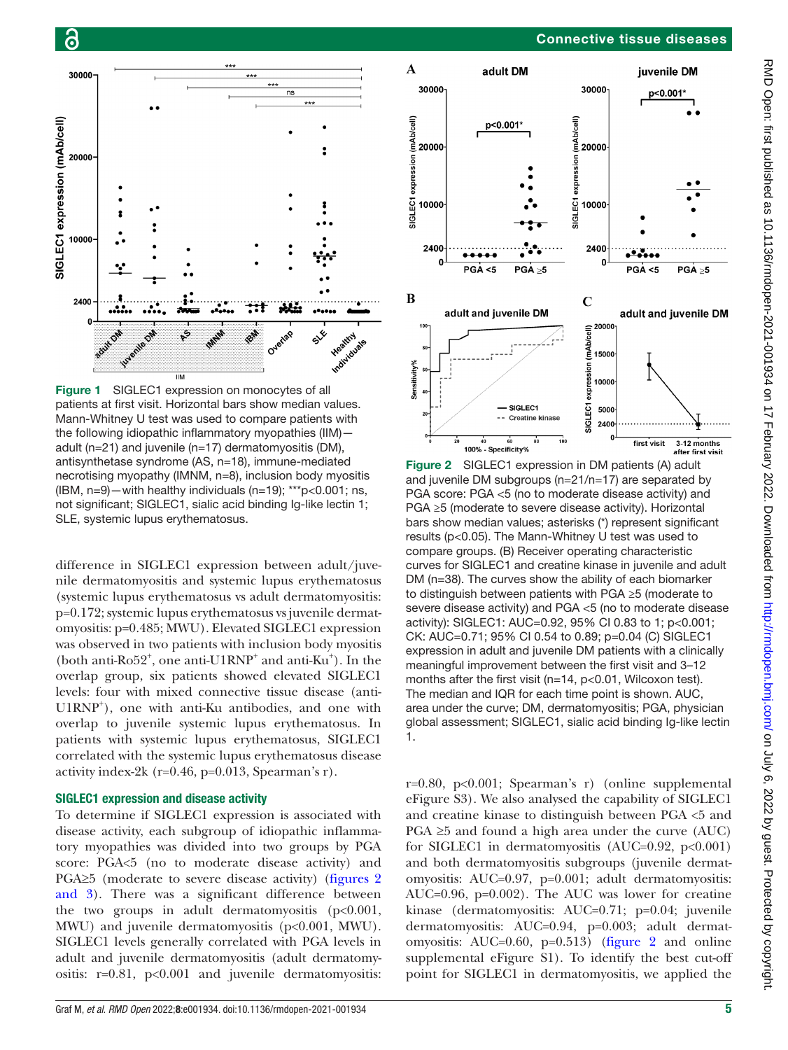

<span id="page-4-0"></span>Figure 1 SIGLEC1 expression on monocytes of all patients at first visit. Horizontal bars show median values. Mann-Whitney U test was used to compare patients with the following idiopathic inflammatory myopathies (IIM) adult (n=21) and juvenile (n=17) dermatomyositis (DM), antisynthetase syndrome (AS, n=18), immune-mediated necrotising myopathy (IMNM, n=8), inclusion body myositis (IBM, n=9)—with healthy individuals (n=19); \*\*\*p<0.001; ns, not significant; SIGLEC1, sialic acid binding Ig-like lectin 1; SLE, systemic lupus erythematosus.

difference in SIGLEC1 expression between adult/juvenile dermatomyositis and systemic lupus erythematosus (systemic lupus erythematosus vs adult dermatomyositis: p=0.172; systemic lupus erythematosus vs juvenile dermatomyositis: p=0.485; MWU). Elevated SIGLEC1 expression was observed in two patients with inclusion body myositis (both anti-Ro52<sup>+</sup>, one anti-U1RNP<sup>+</sup> and anti-Ku<sup>+</sup>). In the overlap group, six patients showed elevated SIGLEC1 levels: four with mixed connective tissue disease (anti-U1RNP<sup>+</sup> ), one with anti-Ku antibodies, and one with overlap to juvenile systemic lupus erythematosus. In patients with systemic lupus erythematosus, SIGLEC1 correlated with the systemic lupus erythematosus disease activity index-2k ( $r=0.46$ ,  $p=0.013$ , Spearman's r).

#### SIGLEC1 expression and disease activity

To determine if SIGLEC1 expression is associated with disease activity, each subgroup of idiopathic inflammatory myopathies was divided into two groups by PGA score: PGA<5 (no to moderate disease activity) and PGA≥5 (moderate to severe disease activity) [\(figures](#page-4-1) 2 [and 3](#page-4-1)). There was a significant difference between the two groups in adult dermatomyositis  $(p<0.001,$ MWU) and juvenile dermatomyositis (p<0.001, MWU). SIGLEC1 levels generally correlated with PGA levels in adult and juvenile dermatomyositis (adult dermatomyositis: r=0.81, p<0.001 and juvenile dermatomyositis:



<span id="page-4-1"></span>Figure 2 SIGLEC1 expression in DM patients (A) adult and juvenile DM subgroups (n=21/n=17) are separated by PGA score: PGA <5 (no to moderate disease activity) and PGA ≥5 (moderate to severe disease activity). Horizontal bars show median values; asterisks (\*) represent significant results (p<0.05). The Mann-Whitney U test was used to compare groups. (B) Receiver operating characteristic curves for SIGLEC1 and creatine kinase in juvenile and adult DM (n=38). The curves show the ability of each biomarker to distinguish between patients with PGA ≥5 (moderate to severe disease activity) and PGA <5 (no to moderate disease activity): SIGLEC1: AUC=0.92, 95% CI 0.83 to 1; p<0.001; CK: AUC=0.71; 95% CI 0.54 to 0.89; p=0.04 (C) SIGLEC1 expression in adult and juvenile DM patients with a clinically meaningful improvement between the first visit and 3–12 months after the first visit (n=14, p<0.01, Wilcoxon test). The median and IQR for each time point is shown. AUC, area under the curve; DM, dermatomyositis; PGA, physician global assessment; SIGLEC1, sialic acid binding Ig-like lectin 1.

r=0.80, p<0.001; Spearman's r) [\(online supplemental](https://dx.doi.org/10.1136/rmdopen-2021-001934) [eFigure S3](https://dx.doi.org/10.1136/rmdopen-2021-001934)). We also analysed the capability of SIGLEC1 and creatine kinase to distinguish between PGA <5 and PGA  $\geq$ 5 and found a high area under the curve (AUC) for SIGLEC1 in dermatomyositis  $(AUC=0.92, p<0.001)$ and both dermatomyositis subgroups (juvenile dermatomyositis: AUC=0.97, p=0.001; adult dermatomyositis: AUC=0.96, p=0.002). The AUC was lower for creatine kinase (dermatomyositis: AUC=0.71; p=0.04; juvenile dermatomyositis: AUC=0.94, p=0.003; adult dermatomyositis:  $AUC=0.60$ ,  $p=0.513$ ) ([figure](#page-4-1) 2 and [online](https://dx.doi.org/10.1136/rmdopen-2021-001934) [supplemental eFigure S1](https://dx.doi.org/10.1136/rmdopen-2021-001934)). To identify the best cut-off point for SIGLEC1 in dermatomyositis, we applied the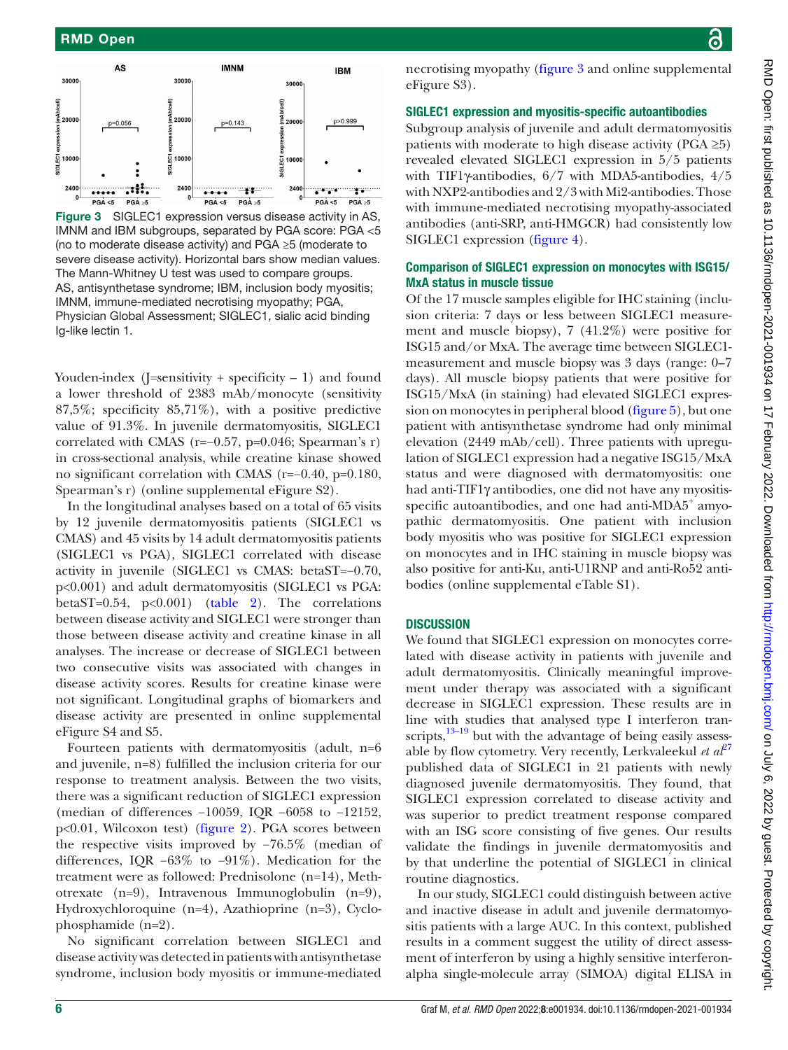

<span id="page-5-0"></span>Figure 3 SIGLEC1 expression versus disease activity in AS, IMNM and IBM subgroups, separated by PGA score: PGA <5 (no to moderate disease activity) and PGA ≥5 (moderate to severe disease activity). Horizontal bars show median values. The Mann-Whitney U test was used to compare groups. AS, antisynthetase syndrome; IBM, inclusion body myositis; IMNM, immune-mediated necrotising myopathy; PGA, Physician Global Assessment; SIGLEC1, sialic acid binding Ig-like lectin 1.

Youden-index (J=sensitivity + specificity  $-1$ ) and found a lower threshold of 2383 mAb/monocyte (sensitivity 87,5%; specificity 85,71%), with a positive predictive value of 91.3%. In juvenile dermatomyositis, SIGLEC1 correlated with CMAS ( $r=-0.57$ ,  $p=0.046$ ; Spearman's r) in cross-sectional analysis, while creatine kinase showed no significant correlation with CMAS (r=−0.40, p=0.180, Spearman's r) [\(online supplemental eFigure S2](https://dx.doi.org/10.1136/rmdopen-2021-001934)).

In the longitudinal analyses based on a total of 65 visits by 12 juvenile dermatomyositis patients (SIGLEC1 vs CMAS) and 45 visits by 14 adult dermatomyositis patients (SIGLEC1 vs PGA), SIGLEC1 correlated with disease activity in juvenile (SIGLEC1 vs CMAS: betaST=−0.70, p<0.001) and adult dermatomyositis (SIGLEC1 vs PGA: betaST=0.54,  $p<0.001$ ) [\(table](#page-6-0) 2). The correlations between disease activity and SIGLEC1 were stronger than those between disease activity and creatine kinase in all analyses. The increase or decrease of SIGLEC1 between two consecutive visits was associated with changes in disease activity scores. Results for creatine kinase were not significant. Longitudinal graphs of biomarkers and disease activity are presented in [online supplemental](https://dx.doi.org/10.1136/rmdopen-2021-001934) [eFigure S4 and S5](https://dx.doi.org/10.1136/rmdopen-2021-001934).

Fourteen patients with dermatomyositis (adult, n=6 and juvenile, n=8) fulfilled the inclusion criteria for our response to treatment analysis. Between the two visits, there was a significant reduction of SIGLEC1 expression (median of differences −10059, IQR −6058 to −12152, p<0.01, Wilcoxon test) [\(figure](#page-4-1) 2). PGA scores between the respective visits improved by −76.5% (median of differences, IQR −63% to −91%). Medication for the treatment were as followed: Prednisolone (n=14), Methotrexate (n=9), Intravenous Immunoglobulin (n=9), Hydroxychloroquine (n=4), Azathioprine (n=3), Cyclophosphamide (n=2).

No significant correlation between SIGLEC1 and disease activity was detected in patients with antisynthetase syndrome, inclusion body myositis or immune-mediated

necrotising myopathy ([figure](#page-5-0) 3 and [online supplemental](https://dx.doi.org/10.1136/rmdopen-2021-001934) [eFigure S3](https://dx.doi.org/10.1136/rmdopen-2021-001934)).

## SIGLEC1 expression and myositis-specific autoantibodies

Subgroup analysis of juvenile and adult dermatomyositis patients with moderate to high disease activity (PGA  $\geq 5$ ) revealed elevated SIGLEC1 expression in 5/5 patients with TIF1γ-antibodies, 6/7 with MDA5-antibodies, 4/5 with NXP2-antibodies and 2/3 with Mi2-antibodies. Those with immune-mediated necrotising myopathy-associated antibodies (anti-SRP, anti-HMGCR) had consistently low SIGLEC1 expression ([figure](#page-7-0) 4).

## Comparison of SIGLEC1 expression on monocytes with ISG15/ MxA status in muscle tissue

Of the 17 muscle samples eligible for IHC staining (inclusion criteria: 7 days or less between SIGLEC1 measurement and muscle biopsy), 7 (41.2%) were positive for ISG15 and/or MxA. The average time between SIGLEC1 measurement and muscle biopsy was 3 days (range: 0–7 days). All muscle biopsy patients that were positive for ISG15/MxA (in staining) had elevated SIGLEC1 expression on monocytes in peripheral blood [\(figure](#page-7-1) 5), but one patient with antisynthetase syndrome had only minimal elevation (2449 mAb/cell). Three patients with upregulation of SIGLEC1 expression had a negative ISG15/MxA status and were diagnosed with dermatomyositis: one had anti-TIF1γ antibodies, one did not have any myositisspecific autoantibodies, and one had anti-MDA5<sup>+</sup> amyopathic dermatomyositis. One patient with inclusion body myositis who was positive for SIGLEC1 expression on monocytes and in IHC staining in muscle biopsy was also positive for anti-Ku, anti-U1RNP and anti-Ro52 antibodies [\(online supplemental eTable S1\)](https://dx.doi.org/10.1136/rmdopen-2021-001934).

## **DISCUSSION**

We found that SIGLEC1 expression on monocytes correlated with disease activity in patients with juvenile and adult dermatomyositis. Clinically meaningful improvement under therapy was associated with a significant decrease in SIGLEC1 expression. These results are in line with studies that analysed type I interferon transcripts, $13-19$  but with the advantage of being easily assessable by flow cytometry. Very recently, Lerkvaleekul *et*  $a<sup>{p}</sup><sup>7</sup>$ published data of SIGLEC1 in 21 patients with newly diagnosed juvenile dermatomyositis. They found, that SIGLEC1 expression correlated to disease activity and was superior to predict treatment response compared with an ISG score consisting of five genes. Our results validate the findings in juvenile dermatomyositis and by that underline the potential of SIGLEC1 in clinical routine diagnostics.

In our study, SIGLEC1 could distinguish between active and inactive disease in adult and juvenile dermatomyositis patients with a large AUC. In this context, published results in a comment suggest the utility of direct assessment of interferon by using a highly sensitive interferonalpha single-molecule array (SIMOA) digital ELISA in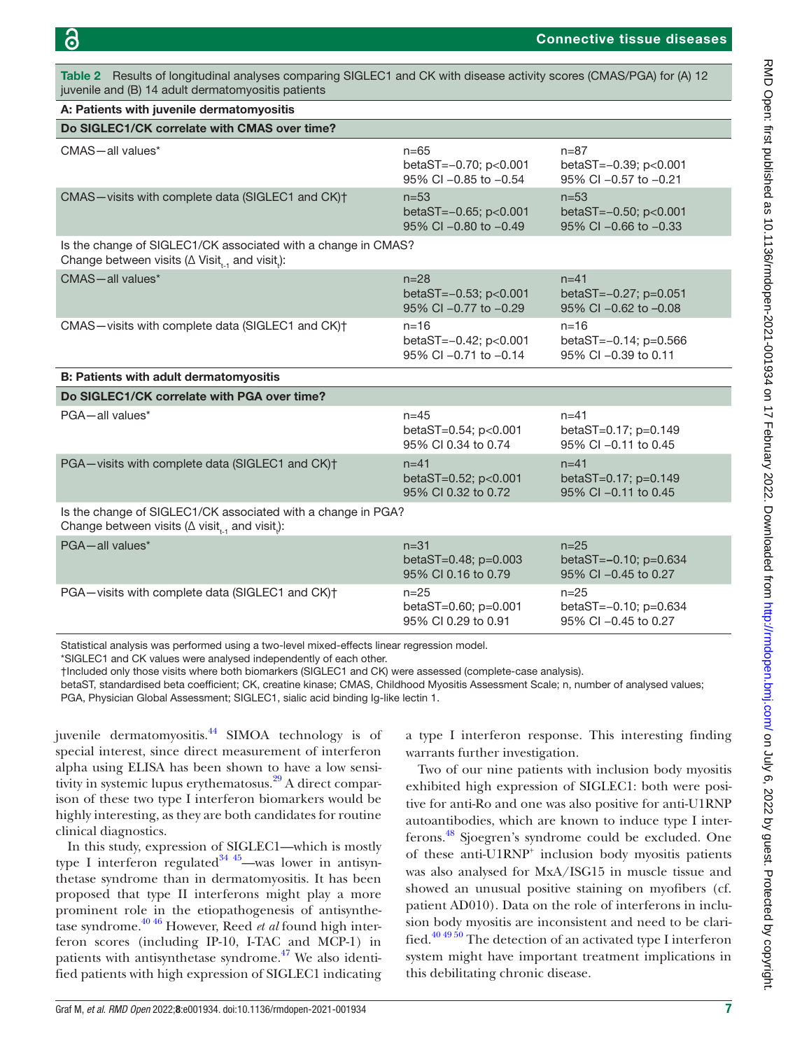<span id="page-6-0"></span>Table 2 Results of longitudinal analyses comparing SIGLEC1 and CK with disease activity scores (CMAS/PGA) for (A) 12 juvenile and (B) 14 adult dermatomyositis patients

| A: Patients with juvenile dermatomyositis                                                                                                        |                                                            |                                                               |
|--------------------------------------------------------------------------------------------------------------------------------------------------|------------------------------------------------------------|---------------------------------------------------------------|
| Do SIGLEC1/CK correlate with CMAS over time?                                                                                                     |                                                            |                                                               |
| CMAS-all values*                                                                                                                                 | $n = 65$<br>betaST=-0.70; p<0.001<br>95% CI -0.85 to -0.54 | $n = 87$<br>betaST=-0.39; p<0.001<br>95% CI -0.57 to -0.21    |
| CMAS-visits with complete data (SIGLEC1 and CK)+                                                                                                 | $n = 53$<br>betaST=-0.65; p<0.001<br>95% CI -0.80 to -0.49 | $n = 53$<br>betaST=-0.50; p<0.001<br>$95\%$ CI -0.66 to -0.33 |
| Is the change of SIGLEC1/CK associated with a change in CMAS?<br>Change between visits ( $\Delta$ Visit <sub>t-1</sub> and visit <sub>a</sub> ): |                                                            |                                                               |
| CMAS-all values*                                                                                                                                 | $n = 28$<br>betaST=-0.53; p<0.001<br>95% CI -0.77 to -0.29 | $n = 41$<br>betaST=-0.27; p=0.051<br>95% CI -0.62 to -0.08    |
| CMAS-visits with complete data (SIGLEC1 and CK) <sup>+</sup>                                                                                     | $n = 16$<br>betaST=-0.42; p<0.001<br>95% CI -0.71 to -0.14 | $n = 16$<br>betaST=-0.14; p=0.566<br>95% CI -0.39 to 0.11     |
|                                                                                                                                                  |                                                            |                                                               |
| <b>B: Patients with adult dermatomyositis</b>                                                                                                    |                                                            |                                                               |
| Do SIGLEC1/CK correlate with PGA over time?                                                                                                      |                                                            |                                                               |
| PGA-all values*                                                                                                                                  | $n = 45$<br>betaST=0.54; p<0.001<br>95% CI 0.34 to 0.74    | $n = 41$<br>betaST=0.17; p=0.149<br>95% CI -0.11 to 0.45      |
| PGA-visits with complete data (SIGLEC1 and CK)+                                                                                                  | $n = 41$<br>betaST=0.52; p<0.001<br>95% CI 0.32 to 0.72    | $n = 41$<br>betaST=0.17; p=0.149<br>95% CI -0.11 to 0.45      |
| Is the change of SIGLEC1/CK associated with a change in PGA?<br>Change between visits ( $\Delta$ visit, and visit.):                             |                                                            |                                                               |
| PGA-all values*                                                                                                                                  | $n = 31$<br>betaST=0.48; p=0.003<br>95% CI 0.16 to 0.79    | $n = 25$<br>betaST=-0.10; p=0.634<br>95% CI -0.45 to 0.27     |

Statistical analysis was performed using a two-level mixed-effects linear regression model.

\*SIGLEC1 and CK values were analysed independently of each other.

†Included only those visits where both biomarkers (SIGLEC1 and CK) were assessed (complete-case analysis).

betaST, standardised beta coefficient; CK, creatine kinase; CMAS, Childhood Myositis Assessment Scale; n, number of analysed values; PGA, Physician Global Assessment; SIGLEC1, sialic acid binding Ig-like lectin 1.

juvenile dermatomyositis.<sup>44</sup> SIMOA technology is of special interest, since direct measurement of interferon alpha using ELISA has been shown to have a low sensitivity in systemic lupus erythematosus.<sup>29</sup> A direct comparison of these two type I interferon biomarkers would be highly interesting, as they are both candidates for routine clinical diagnostics.

In this study, expression of SIGLEC1—which is mostly type I interferon regulated  $34\frac{45}{2}$ —was lower in antisynthetase syndrome than in dermatomyositis. It has been proposed that type II interferons might play a more prominent role in the etiopathogenesis of antisynthetase syndrome.[40 46](#page-9-7) However, Reed *et al* found high interferon scores (including IP-10, I-TAC and MCP-1) in patients with antisynthetase syndrome. $47$  We also identified patients with high expression of SIGLEC1 indicating

a type I interferon response. This interesting finding warrants further investigation.

Two of our nine patients with inclusion body myositis exhibited high expression of SIGLEC1: both were positive for anti-Ro and one was also positive for anti-U1RNP autoantibodies, which are known to induce type I interferons.[48](#page-9-12) Sjoegren's syndrome could be excluded. One of these anti-U1RNP<sup>+</sup> inclusion body myositis patients was also analysed for MxA/ISG15 in muscle tissue and showed an unusual positive staining on myofibers (cf. patient AD010). Data on the role of interferons in inclusion body myositis are inconsistent and need to be clarified.<sup>40 49 50</sup> The detection of an activated type I interferon system might have important treatment implications in this debilitating chronic disease.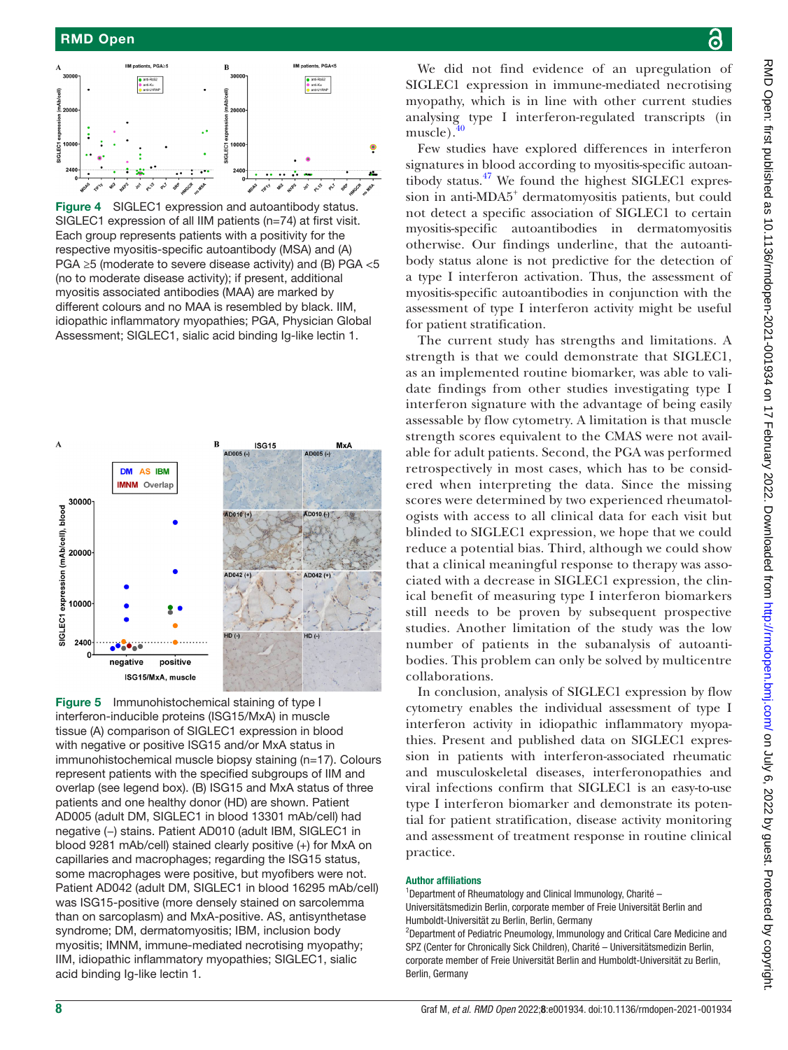

<span id="page-7-0"></span>Figure 4 SIGLEC1 expression and autoantibody status. SIGLEC1 expression of all IIM patients (n=74) at first visit. Each group represents patients with a positivity for the respective myositis-specific autoantibody (MSA) and (A) PGA ≥5 (moderate to severe disease activity) and (B) PGA <5 (no to moderate disease activity); if present, additional myositis associated antibodies (MAA) are marked by different colours and no MAA is resembled by black. IIM, idiopathic inflammatory myopathies; PGA, Physician Global Assessment; SIGLEC1, sialic acid binding Ig-like lectin 1.



<span id="page-7-1"></span>Figure 5 Immunohistochemical staining of type I interferon-inducible proteins (ISG15/MxA) in muscle tissue (A) comparison of SIGLEC1 expression in blood with negative or positive ISG15 and/or MxA status in immunohistochemical muscle biopsy staining (n=17). Colours represent patients with the specified subgroups of IIM and overlap (see legend box). (B) ISG15 and MxA status of three patients and one healthy donor (HD) are shown. Patient AD005 (adult DM, SIGLEC1 in blood 13301 mAb/cell) had negative (−) stains. Patient AD010 (adult IBM, SIGLEC1 in blood 9281 mAb/cell) stained clearly positive (+) for MxA on capillaries and macrophages; regarding the ISG15 status, some macrophages were positive, but myofibers were not. Patient AD042 (adult DM, SIGLEC1 in blood 16295 mAb/cell) was ISG15-positive (more densely stained on sarcolemma than on sarcoplasm) and MxA-positive. AS, antisynthetase syndrome; DM, dermatomyositis; IBM, inclusion body myositis; IMNM, immune-mediated necrotising myopathy; IIM, idiopathic inflammatory myopathies; SIGLEC1, sialic acid binding Ig-like lectin 1.

We did not find evidence of an upregulation of SIGLEC1 expression in immune-mediated necrotising myopathy, which is in line with other current studies analysing type I interferon-regulated transcripts (in muscle).

Few studies have explored differences in interferon signatures in blood according to myositis-specific autoantibody status. $47$  We found the highest SIGLEC1 expression in anti-MDA5<sup>+</sup> dermatomyositis patients, but could not detect a specific association of SIGLEC1 to certain myositis-specific autoantibodies in dermatomyositis otherwise. Our findings underline, that the autoantibody status alone is not predictive for the detection of a type I interferon activation. Thus, the assessment of myositis-specific autoantibodies in conjunction with the assessment of type I interferon activity might be useful for patient stratification.

The current study has strengths and limitations. A strength is that we could demonstrate that SIGLEC1, as an implemented routine biomarker, was able to validate findings from other studies investigating type I interferon signature with the advantage of being easily assessable by flow cytometry. A limitation is that muscle strength scores equivalent to the CMAS were not available for adult patients. Second, the PGA was performed retrospectively in most cases, which has to be considered when interpreting the data. Since the missing scores were determined by two experienced rheumatologists with access to all clinical data for each visit but blinded to SIGLEC1 expression, we hope that we could reduce a potential bias. Third, although we could show that a clinical meaningful response to therapy was associated with a decrease in SIGLEC1 expression, the clinical benefit of measuring type I interferon biomarkers still needs to be proven by subsequent prospective studies. Another limitation of the study was the low number of patients in the subanalysis of autoantibodies. This problem can only be solved by multicentre collaborations.

In conclusion, analysis of SIGLEC1 expression by flow cytometry enables the individual assessment of type I interferon activity in idiopathic inflammatory myopathies. Present and published data on SIGLEC1 expression in patients with interferon-associated rheumatic and musculoskeletal diseases, interferonopathies and viral infections confirm that SIGLEC1 is an easy-to-use type I interferon biomarker and demonstrate its potential for patient stratification, disease activity monitoring and assessment of treatment response in routine clinical practice.

## Author affiliations

<sup>1</sup>Department of Rheumatology and Clinical Immunology, Charité -Universitätsmedizin Berlin, corporate member of Freie Universität Berlin and Humboldt-Universität zu Berlin, Berlin, Germany

<sup>2</sup>Department of Pediatric Pneumology, Immunology and Critical Care Medicine and SPZ (Center for Chronically Sick Children), Charité – Universitätsmedizin Berlin, corporate member of Freie Universität Berlin and Humboldt-Universität zu Berlin, Berlin, Germany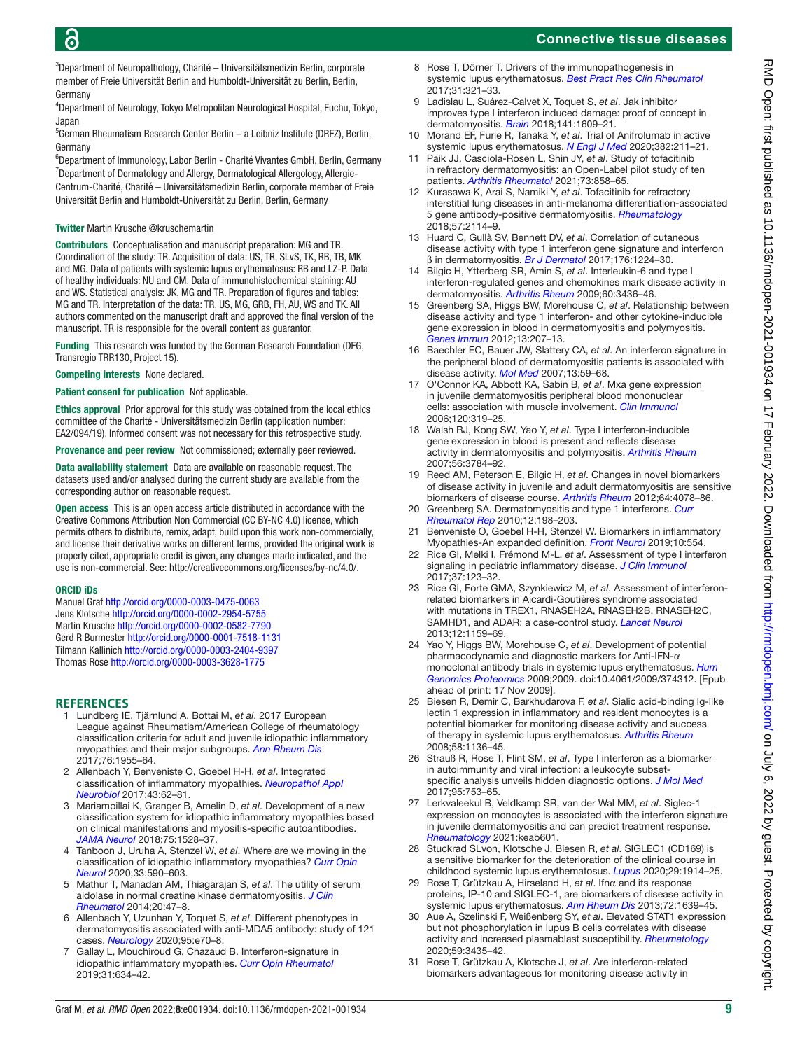## Connective tissue diseases

3 Department of Neuropathology, Charité – Universitätsmedizin Berlin, corporate member of Freie Universität Berlin and Humboldt-Universität zu Berlin, Berlin, Germany

4 Department of Neurology, Tokyo Metropolitan Neurological Hospital, Fuchu, Tokyo, Japan

<sup>5</sup>German Rheumatism Research Center Berlin - a Leibniz Institute (DRFZ), Berlin, Germany

<sup>6</sup>Department of Immunology, Labor Berlin - Charité Vivantes GmbH, Berlin, Germany <sup>7</sup>Department of Dermatology and Allergy, Dermatological Allergology, Allergie-Centrum-Charité, Charité – Universitätsmedizin Berlin, corporate member of Freie Universität Berlin and Humboldt-Universität zu Berlin, Berlin, Germany

#### Twitter Martin Krusche [@kruschemartin](https://twitter.com/kruschemartin)

Contributors Conceptualisation and manuscript preparation: MG and TR. Coordination of the study: TR. Acquisition of data: US, TR, SLvS, TK, RB, TB, MK and MG. Data of patients with systemic lupus erythematosus: RB and LZ-P. Data of healthy individuals: NU and CM. Data of immunohistochemical staining: AU and WS. Statistical analysis: JK, MG and TR. Preparation of figures and tables: MG and TR. Interpretation of the data: TR, US, MG, GRB, FH, AU, WS and TK. All authors commented on the manuscript draft and approved the final version of the manuscript. TR is responsible for the overall content as guarantor.

Funding This research was funded by the German Research Foundation (DFG, Transregio TRR130, Project 15).

Competing interests None declared.

#### Patient consent for publication Not applicable.

Ethics approval Prior approval for this study was obtained from the local ethics committee of the Charité - Universitätsmedizin Berlin (application number: EA2/094/19). Informed consent was not necessary for this retrospective study.

Provenance and peer review Not commissioned; externally peer reviewed.

Data availability statement Data are available on reasonable request. The datasets used and/or analysed during the current study are available from the corresponding author on reasonable request.

Open access This is an open access article distributed in accordance with the Creative Commons Attribution Non Commercial (CC BY-NC 4.0) license, which permits others to distribute, remix, adapt, build upon this work non-commercially, and license their derivative works on different terms, provided the original work is properly cited, appropriate credit is given, any changes made indicated, and the use is non-commercial. See:<http://creativecommons.org/licenses/by-nc/4.0/>.

#### ORCID iDs

Manuel Graf <http://orcid.org/0000-0003-0475-0063> Jens Klotsche <http://orcid.org/0000-0002-2954-5755> Martin Krusche <http://orcid.org/0000-0002-0582-7790> Gerd R Burmester <http://orcid.org/0000-0001-7518-1131> Tilmann Kallinich<http://orcid.org/0000-0003-2404-9397> Thomas Rose <http://orcid.org/0000-0003-3628-1775>

#### **REFERENCES**

- <span id="page-8-0"></span>1 Lundberg IE, Tjärnlund A, Bottai M, *et al*. 2017 European League against Rheumatism/American College of rheumatology classification criteria for adult and juvenile idiopathic inflammatory myopathies and their major subgroups. *[Ann Rheum Dis](http://dx.doi.org/10.1136/annrheumdis-2017-211468)* 2017;76:1955–64.
- <span id="page-8-1"></span>2 Allenbach Y, Benveniste O, Goebel H-H, *et al*. Integrated classification of inflammatory myopathies. *[Neuropathol Appl](http://dx.doi.org/10.1111/nan.12380)  [Neurobiol](http://dx.doi.org/10.1111/nan.12380)* 2017;43:62–81.
- 3 Mariampillai K, Granger B, Amelin D, *et al*. Development of a new classification system for idiopathic inflammatory myopathies based on clinical manifestations and myositis-specific autoantibodies. *[JAMA Neurol](http://dx.doi.org/10.1001/jamaneurol.2018.2598)* 2018;75:1528–37.
- 4 Tanboon J, Uruha A, Stenzel W, *et al*. Where are we moving in the classification of idiopathic inflammatory myopathies? *[Curr Opin](http://dx.doi.org/10.1097/WCO.0000000000000855)  [Neurol](http://dx.doi.org/10.1097/WCO.0000000000000855)* 2020;33:590–603.
- <span id="page-8-2"></span>5 Mathur T, Manadan AM, Thiagarajan S, *et al*. The utility of serum aldolase in normal creatine kinase dermatomyositis. *[J Clin](http://dx.doi.org/10.1097/RHU.0000000000000062)  [Rheumatol](http://dx.doi.org/10.1097/RHU.0000000000000062)* 2014;20:47–8.
- 6 Allenbach Y, Uzunhan Y, Toquet S, *et al*. Different phenotypes in dermatomyositis associated with anti-MDA5 antibody: study of 121 cases. *[Neurology](http://dx.doi.org/10.1212/WNL.0000000000009727)* 2020;95:e70–8.
- <span id="page-8-3"></span>7 Gallay L, Mouchiroud G, Chazaud B. Interferon-signature in idiopathic inflammatory myopathies. *[Curr Opin Rheumatol](http://dx.doi.org/10.1097/BOR.0000000000000653)* 2019;31:634–42.
- 8 Rose T, Dörner T. Drivers of the immunopathogenesis in systemic lupus erythematosus. *[Best Pract Res Clin Rheumatol](http://dx.doi.org/10.1016/j.berh.2017.09.007)* 2017;31:321–33.
- <span id="page-8-4"></span>9 Ladislau L, Suárez-Calvet X, Toquet S, *et al*. Jak inhibitor improves type I interferon induced damage: proof of concept in dermatomyositis. *[Brain](http://dx.doi.org/10.1093/brain/awy105)* 2018;141:1609–21.
- 10 Morand EF, Furie R, Tanaka Y, *et al*. Trial of Anifrolumab in active systemic lupus erythematosus. *[N Engl J Med](http://dx.doi.org/10.1056/NEJMoa1912196)* 2020;382:211–21.
- 11 Paik JJ, Casciola‐Rosen L, Shin JY, *et al*. Study of tofacitinib in refractory dermatomyositis: an Open‐Label pilot study of ten patients. *[Arthritis Rheumatol](http://dx.doi.org/10.1002/art.41602)* 2021;73:858–65.
- 12 Kurasawa K, Arai S, Namiki Y, *et al*. Tofacitinib for refractory interstitial lung diseases in anti-melanoma differentiation-associated 5 gene antibody-positive dermatomyositis. *[Rheumatology](http://dx.doi.org/10.1093/rheumatology/key188)* 2018;57:2114–9.
- <span id="page-8-6"></span>13 Huard C, Gullà SV, Bennett DV, *et al*. Correlation of cutaneous disease activity with type 1 interferon gene signature and interferon β in dermatomyositis. *[Br J Dermatol](http://dx.doi.org/10.1111/bjd.15006)* 2017;176:1224–30.
- 14 Bilgic H, Ytterberg SR, Amin S, *et al*. Interleukin-6 and type I interferon-regulated genes and chemokines mark disease activity in dermatomyositis. *[Arthritis Rheum](http://dx.doi.org/10.1002/art.24936)* 2009;60:3436–46.
- 15 Greenberg SA, Higgs BW, Morehouse C, *et al*. Relationship between disease activity and type 1 interferon- and other cytokine-inducible gene expression in blood in dermatomyositis and polymyositis. *[Genes Immun](http://dx.doi.org/10.1038/gene.2011.61)* 2012;13:207–13.
- 16 Baechler EC, Bauer JW, Slattery CA, *et al*. An interferon signature in the peripheral blood of dermatomyositis patients is associated with disease activity. *[Mol Med](http://dx.doi.org/10.2119/2006-00085.Baechler)* 2007;13:59–68.
- 17 O'Connor KA, Abbott KA, Sabin B, *et al*. Mxa gene expression in juvenile dermatomyositis peripheral blood mononuclear cells: association with muscle involvement. *[Clin Immunol](http://dx.doi.org/10.1016/j.clim.2006.05.011)* 2006;120:319–25.
- 18 Walsh RJ, Kong SW, Yao Y, *et al*. Type I interferon-inducible gene expression in blood is present and reflects disease activity in dermatomyositis and polymyositis. *[Arthritis Rheum](http://dx.doi.org/10.1002/art.22928)* 2007;56:3784–92.
- 19 Reed AM, Peterson E, Bilgic H, *et al*. Changes in novel biomarkers of disease activity in juvenile and adult dermatomyositis are sensitive biomarkers of disease course. *[Arthritis Rheum](http://dx.doi.org/10.1002/art.34659)* 2012;64:4078–86.
- 20 Greenberg SA. Dermatomyositis and type 1 interferons. *[Curr](http://dx.doi.org/10.1007/s11926-010-0101-6)  [Rheumatol Rep](http://dx.doi.org/10.1007/s11926-010-0101-6)* 2010;12:198–203.
- <span id="page-8-5"></span>Benveniste O, Goebel H-H, Stenzel W. Biomarkers in inflammatory Myopathies-An expanded definition. *[Front Neurol](http://dx.doi.org/10.3389/fneur.2019.00554)* 2019;10:554.
- 22 Rice GI, Melki I, Frémond M-L, *et al*. Assessment of type I interferon signaling in pediatric inflammatory disease. *[J Clin Immunol](http://dx.doi.org/10.1007/s10875-016-0359-1)* 2017;37:123–32.
- 23 Rice GI, Forte GMA, Szynkiewicz M, *et al*. Assessment of interferonrelated biomarkers in Aicardi-Goutières syndrome associated with mutations in TREX1, RNASEH2A, RNASEH2B, RNASEH2C, SAMHD1, and ADAR: a case-control study. *[Lancet Neurol](http://dx.doi.org/10.1016/S1474-4422(13)70258-8)* 2013;12:1159–69.
- 24 Yao Y, Higgs BW, Morehouse C, *et al*. Development of potential pharmacodynamic and diagnostic markers for Anti-IFN-α monoclonal antibody trials in systemic lupus erythematosus. *[Hum](http://dx.doi.org/10.4061/2009/374312)  [Genomics Proteomics](http://dx.doi.org/10.4061/2009/374312)* 2009;2009. doi:10.4061/2009/374312. [Epub ahead of print: 17 Nov 2009].
- <span id="page-8-9"></span>25 Biesen R, Demir C, Barkhudarova F, *et al*. Sialic acid-binding Ig-like lectin 1 expression in inflammatory and resident monocytes is a potential biomarker for monitoring disease activity and success of therapy in systemic lupus erythematosus. *[Arthritis Rheum](http://dx.doi.org/10.1002/art.23404)* 2008;58:1136–45.
- <span id="page-8-7"></span>26 Strauß R, Rose T, Flint SM, *et al*. Type I interferon as a biomarker in autoimmunity and viral infection: a leukocyte subsetspecific analysis unveils hidden diagnostic options. *[J Mol Med](http://dx.doi.org/10.1007/s00109-017-1515-7)* 2017;95:753–65.
- <span id="page-8-8"></span>27 Lerkvaleekul B, Veldkamp SR, van der Wal MM, *et al*. Siglec-1 expression on monocytes is associated with the interferon signature in juvenile dermatomyositis and can predict treatment response. *[Rheumatology](http://dx.doi.org/10.1093/rheumatology/keab601)* 2021:keab601.
- <span id="page-8-10"></span>28 Stuckrad SLvon, Klotsche J, Biesen R, *et al*. SIGLEC1 (CD169) is a sensitive biomarker for the deterioration of the clinical course in childhood systemic lupus erythematosus. *[Lupus](http://dx.doi.org/10.1177/0961203320965699)* 2020;29:1914–25.
- <span id="page-8-11"></span>29 Rose T, Grützkau A, Hirseland H, *et al*. Ifnα and its response proteins, IP-10 and SIGLEC-1, are biomarkers of disease activity in systemic lupus erythematosus. *[Ann Rheum Dis](http://dx.doi.org/10.1136/annrheumdis-2012-201586)* 2013;72:1639–45.
- 30 Aue A, Szelinski F, Weißenberg SY, *et al*. Elevated STAT1 expression but not phosphorylation in lupus B cells correlates with disease activity and increased plasmablast susceptibility. *[Rheumatology](http://dx.doi.org/10.1093/rheumatology/keaa187)* 2020;59:3435–42.
- 31 Rose T, Grützkau A, Klotsche J, *et al*. Are interferon-related biomarkers advantageous for monitoring disease activity in